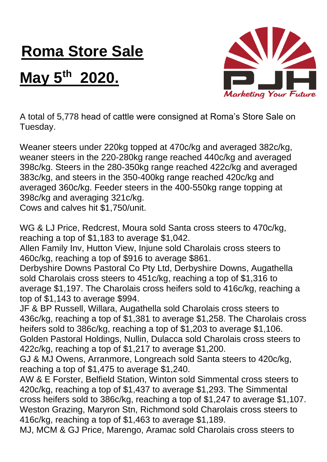## **Roma Store Sale**

## **May 5th 2020.**



A total of 5,778 head of cattle were consigned at Roma's Store Sale on Tuesday.

Weaner steers under 220kg topped at 470c/kg and averaged 382c/kg, weaner steers in the 220-280kg range reached 440c/kg and averaged 398c/kg. Steers in the 280-350kg range reached 422c/kg and averaged 383c/kg, and steers in the 350-400kg range reached 420c/kg and averaged 360c/kg. Feeder steers in the 400-550kg range topping at 398c/kg and averaging 321c/kg.

Cows and calves hit \$1,750/unit.

WG & LJ Price, Redcrest, Moura sold Santa cross steers to 470c/kg, reaching a top of \$1,183 to average \$1,042.

Allen Family Inv, Hutton View, Injune sold Charolais cross steers to 460c/kg, reaching a top of \$916 to average \$861.

Derbyshire Downs Pastoral Co Pty Ltd, Derbyshire Downs, Augathella sold Charolais cross steers to 451c/kg, reaching a top of \$1,316 to average \$1,197. The Charolais cross heifers sold to 416c/kg, reaching a top of \$1,143 to average \$994.

JF & BP Russell, Willara, Augathella sold Charolais cross steers to 436c/kg, reaching a top of \$1,381 to average \$1,258. The Charolais cross heifers sold to 386c/kg, reaching a top of \$1,203 to average \$1,106. Golden Pastoral Holdings, Nullin, Dulacca sold Charolais cross steers to 422c/kg, reaching a top of \$1,217 to average \$1,200.

GJ & MJ Owens, Arranmore, Longreach sold Santa steers to 420c/kg, reaching a top of \$1,475 to average \$1,240.

AW & E Forster, Belfield Station, Winton sold Simmental cross steers to 420c/kg, reaching a top of \$1,437 to average \$1,293. The Simmental cross heifers sold to 386c/kg, reaching a top of \$1,247 to average \$1,107. Weston Grazing, Maryron Stn, Richmond sold Charolais cross steers to 416c/kg, reaching a top of \$1,463 to average \$1,189.

MJ, MCM & GJ Price, Marengo, Aramac sold Charolais cross steers to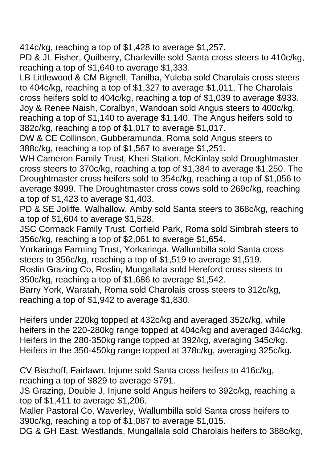414c/kg, reaching a top of \$1,428 to average \$1,257.

PD & JL Fisher, Quilberry, Charleville sold Santa cross steers to 410c/kg, reaching a top of \$1,640 to average \$1,333.

LB Littlewood & CM Bignell, Tanilba, Yuleba sold Charolais cross steers to 404c/kg, reaching a top of \$1,327 to average \$1,011. The Charolais cross heifers sold to 404c/kg, reaching a top of \$1,039 to average \$933. Joy & Renee Naish, Coralbyn, Wandoan sold Angus steers to 400c/kg, reaching a top of \$1,140 to average \$1,140. The Angus heifers sold to 382c/kg, reaching a top of \$1,017 to average \$1,017.

DW & CE Collinson, Gubberamunda, Roma sold Angus steers to 388c/kg, reaching a top of \$1,567 to average \$1,251.

WH Cameron Family Trust, Kheri Station, McKinlay sold Droughtmaster cross steers to 370c/kg, reaching a top of \$1,384 to average \$1,250. The Droughtmaster cross heifers sold to 354c/kg, reaching a top of \$1,056 to average \$999. The Droughtmaster cross cows sold to 269c/kg, reaching a top of \$1,423 to average \$1,403.

PD & SE Joliffe, Walhallow, Amby sold Santa steers to 368c/kg, reaching a top of \$1,604 to average \$1,528.

JSC Cormack Family Trust, Corfield Park, Roma sold Simbrah steers to 356c/kg, reaching a top of \$2,061 to average \$1,654.

Yorkaringa Farming Trust, Yorkaringa, Wallumbilla sold Santa cross steers to 356c/kg, reaching a top of \$1,519 to average \$1,519.

Roslin Grazing Co, Roslin, Mungallala sold Hereford cross steers to 350c/kg, reaching a top of \$1,686 to average \$1,542.

Barry York, Waratah, Roma sold Charolais cross steers to 312c/kg, reaching a top of \$1,942 to average \$1,830.

Heifers under 220kg topped at 432c/kg and averaged 352c/kg, while heifers in the 220-280kg range topped at 404c/kg and averaged 344c/kg. Heifers in the 280-350kg range topped at 392/kg, averaging 345c/kg. Heifers in the 350-450kg range topped at 378c/kg, averaging 325c/kg.

CV Bischoff, Fairlawn, Injune sold Santa cross heifers to 416c/kg, reaching a top of \$829 to average \$791.

JS Grazing, Double J, Injune sold Angus heifers to 392c/kg, reaching a top of \$1,411 to average \$1,206.

Maller Pastoral Co, Waverley, Wallumbilla sold Santa cross heifers to 390c/kg, reaching a top of \$1,087 to average \$1,015.

DG & GH East, Westlands, Mungallala sold Charolais heifers to 388c/kg,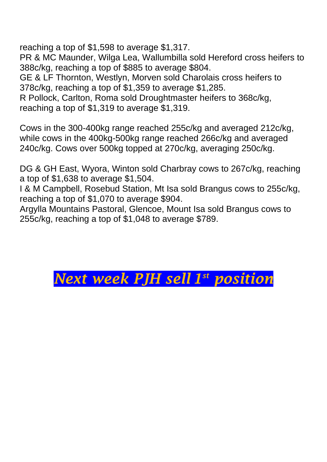reaching a top of \$1,598 to average \$1,317.

PR & MC Maunder, Wilga Lea, Wallumbilla sold Hereford cross heifers to 388c/kg, reaching a top of \$885 to average \$804.

GE & LF Thornton, Westlyn, Morven sold Charolais cross heifers to 378c/kg, reaching a top of \$1,359 to average \$1,285.

R Pollock, Carlton, Roma sold Droughtmaster heifers to 368c/kg, reaching a top of \$1,319 to average \$1,319.

Cows in the 300-400kg range reached 255c/kg and averaged 212c/kg, while cows in the 400kg-500kg range reached 266c/kg and averaged 240c/kg. Cows over 500kg topped at 270c/kg, averaging 250c/kg.

DG & GH East, Wyora, Winton sold Charbray cows to 267c/kg, reaching a top of \$1,638 to average \$1,504.

I & M Campbell, Rosebud Station, Mt Isa sold Brangus cows to 255c/kg, reaching a top of \$1,070 to average \$904.

Argylla Mountains Pastoral, Glencoe, Mount Isa sold Brangus cows to 255c/kg, reaching a top of \$1,048 to average \$789.

## *Next week PJH sell 1 st position*